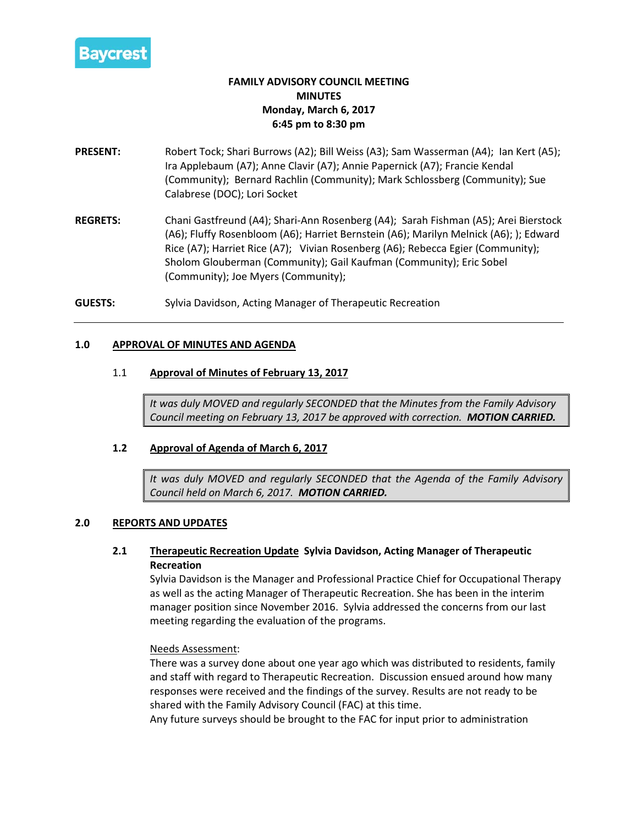

# **FAMILY ADVISORY COUNCIL MEETING MINUTES Monday, March 6, 2017 6:45 pm to 8:30 pm**

- **PRESENT:** Robert Tock; Shari Burrows (A2); Bill Weiss (A3); Sam Wasserman (A4); Ian Kert (A5); Ira Applebaum (A7); Anne Clavir (A7); Annie Papernick (A7); Francie Kendal (Community); Bernard Rachlin (Community); Mark Schlossberg (Community); Sue Calabrese (DOC); Lori Socket
- **REGRETS:** Chani Gastfreund (A4); Shari-Ann Rosenberg (A4); Sarah Fishman (A5); Arei Bierstock (A6); Fluffy Rosenbloom (A6); Harriet Bernstein (A6); Marilyn Melnick (A6); ); Edward Rice (A7); Harriet Rice (A7); Vivian Rosenberg (A6); Rebecca Egier (Community); Sholom Glouberman (Community); Gail Kaufman (Community); Eric Sobel (Community); Joe Myers (Community);

**GUESTS:** Sylvia Davidson, Acting Manager of Therapeutic Recreation

#### **1.0 APPROVAL OF MINUTES AND AGENDA**

#### 1.1 **Approval of Minutes of February 13, 2017**

*It was duly MOVED and regularly SECONDED that the Minutes from the Family Advisory Council meeting on February 13, 2017 be approved with correction. MOTION CARRIED.*

#### **1.2 Approval of Agenda of March 6, 2017**

*It was duly MOVED and regularly SECONDED that the Agenda of the Family Advisory Council held on March 6, 2017. MOTION CARRIED.*

#### **2.0 REPORTS AND UPDATES**

# **2.1 Therapeutic Recreation Update Sylvia Davidson, Acting Manager of Therapeutic Recreation**

Sylvia Davidson is the Manager and Professional Practice Chief for Occupational Therapy as well as the acting Manager of Therapeutic Recreation. She has been in the interim manager position since November 2016. Sylvia addressed the concerns from our last meeting regarding the evaluation of the programs.

#### Needs Assessment:

There was a survey done about one year ago which was distributed to residents, family and staff with regard to Therapeutic Recreation. Discussion ensued around how many responses were received and the findings of the survey. Results are not ready to be shared with the Family Advisory Council (FAC) at this time.

Any future surveys should be brought to the FAC for input prior to administration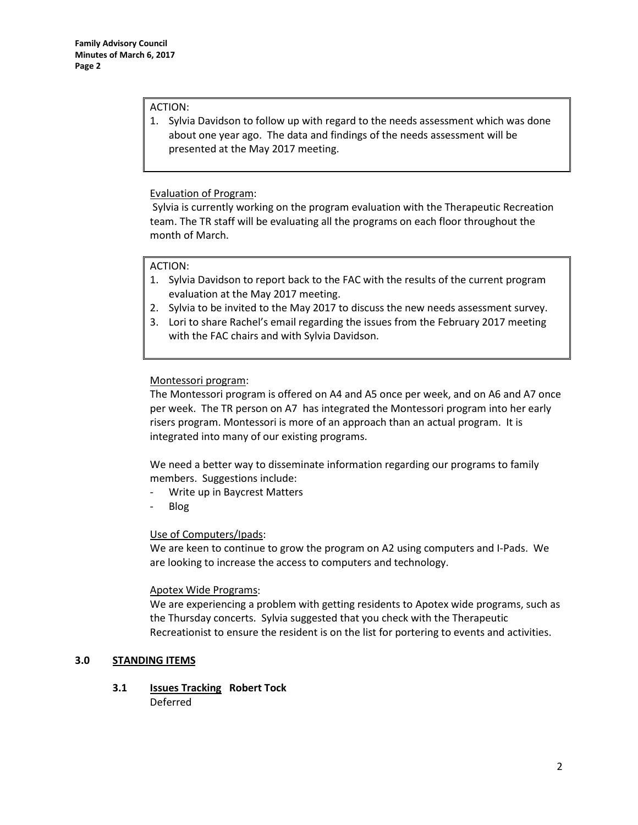#### ACTION:

1. Sylvia Davidson to follow up with regard to the needs assessment which was done about one year ago. The data and findings of the needs assessment will be presented at the May 2017 meeting.

# Evaluation of Program:

Sylvia is currently working on the program evaluation with the Therapeutic Recreation team. The TR staff will be evaluating all the programs on each floor throughout the month of March.

# ACTION:

- 1. Sylvia Davidson to report back to the FAC with the results of the current program evaluation at the May 2017 meeting.
- 2. Sylvia to be invited to the May 2017 to discuss the new needs assessment survey.
- 3. Lori to share Rachel's email regarding the issues from the February 2017 meeting with the FAC chairs and with Sylvia Davidson.

# Montessori program:

The Montessori program is offered on A4 and A5 once per week, and on A6 and A7 once per week. The TR person on A7 has integrated the Montessori program into her early risers program. Montessori is more of an approach than an actual program. It is integrated into many of our existing programs.

We need a better way to disseminate information regarding our programs to family members. Suggestions include:

- Write up in Baycrest Matters
- Blog

# Use of Computers/Ipads:

We are keen to continue to grow the program on A2 using computers and I-Pads. We are looking to increase the access to computers and technology.

# Apotex Wide Programs:

We are experiencing a problem with getting residents to Apotex wide programs, such as the Thursday concerts. Sylvia suggested that you check with the Therapeutic Recreationist to ensure the resident is on the list for portering to events and activities.

# **3.0 STANDING ITEMS**

**3.1 Issues Tracking Robert Tock** Deferred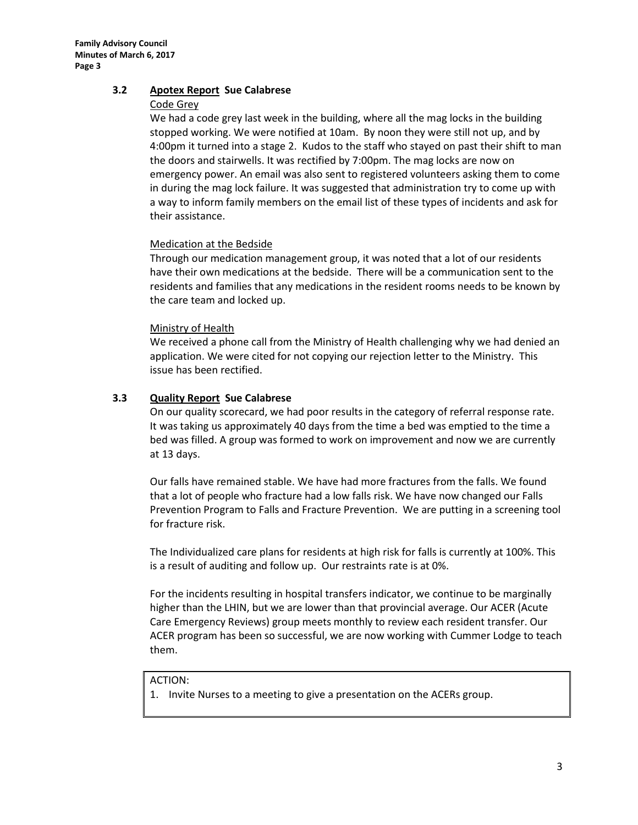### **3.2 Apotex Report Sue Calabrese**

#### Code Grey

We had a code grey last week in the building, where all the mag locks in the building stopped working. We were notified at 10am. By noon they were still not up, and by 4:00pm it turned into a stage 2. Kudos to the staff who stayed on past their shift to man the doors and stairwells. It was rectified by 7:00pm. The mag locks are now on emergency power. An email was also sent to registered volunteers asking them to come in during the mag lock failure. It was suggested that administration try to come up with a way to inform family members on the email list of these types of incidents and ask for their assistance.

#### Medication at the Bedside

Through our medication management group, it was noted that a lot of our residents have their own medications at the bedside. There will be a communication sent to the residents and families that any medications in the resident rooms needs to be known by the care team and locked up.

#### Ministry of Health

We received a phone call from the Ministry of Health challenging why we had denied an application. We were cited for not copying our rejection letter to the Ministry. This issue has been rectified.

# **3.3 Quality Report Sue Calabrese**

On our quality scorecard, we had poor results in the category of referral response rate. It was taking us approximately 40 days from the time a bed was emptied to the time a bed was filled. A group was formed to work on improvement and now we are currently at 13 days.

Our falls have remained stable. We have had more fractures from the falls. We found that a lot of people who fracture had a low falls risk. We have now changed our Falls Prevention Program to Falls and Fracture Prevention. We are putting in a screening tool for fracture risk.

The Individualized care plans for residents at high risk for falls is currently at 100%. This is a result of auditing and follow up. Our restraints rate is at 0%.

For the incidents resulting in hospital transfers indicator, we continue to be marginally higher than the LHIN, but we are lower than that provincial average. Our ACER (Acute Care Emergency Reviews) group meets monthly to review each resident transfer. Our ACER program has been so successful, we are now working with Cummer Lodge to teach them.

#### ACTION:

1. Invite Nurses to a meeting to give a presentation on the ACERs group.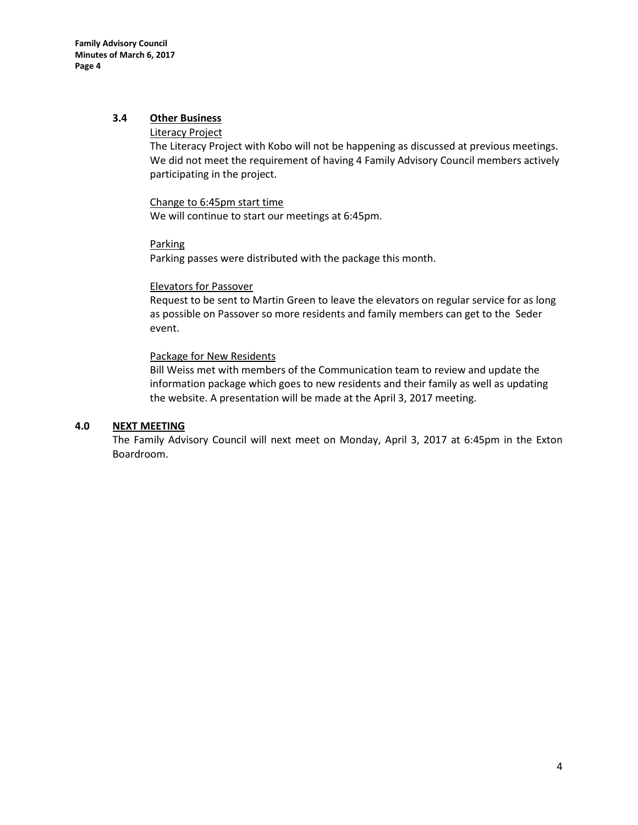# **3.4 Other Business**

#### Literacy Project

The Literacy Project with Kobo will not be happening as discussed at previous meetings. We did not meet the requirement of having 4 Family Advisory Council members actively participating in the project.

#### Change to 6:45pm start time

We will continue to start our meetings at 6:45pm.

#### Parking

Parking passes were distributed with the package this month.

#### Elevators for Passover

Request to be sent to Martin Green to leave the elevators on regular service for as long as possible on Passover so more residents and family members can get to the Seder event.

#### Package for New Residents

Bill Weiss met with members of the Communication team to review and update the information package which goes to new residents and their family as well as updating the website. A presentation will be made at the April 3, 2017 meeting.

#### **4.0 NEXT MEETING**

The Family Advisory Council will next meet on Monday, April 3, 2017 at 6:45pm in the Exton Boardroom.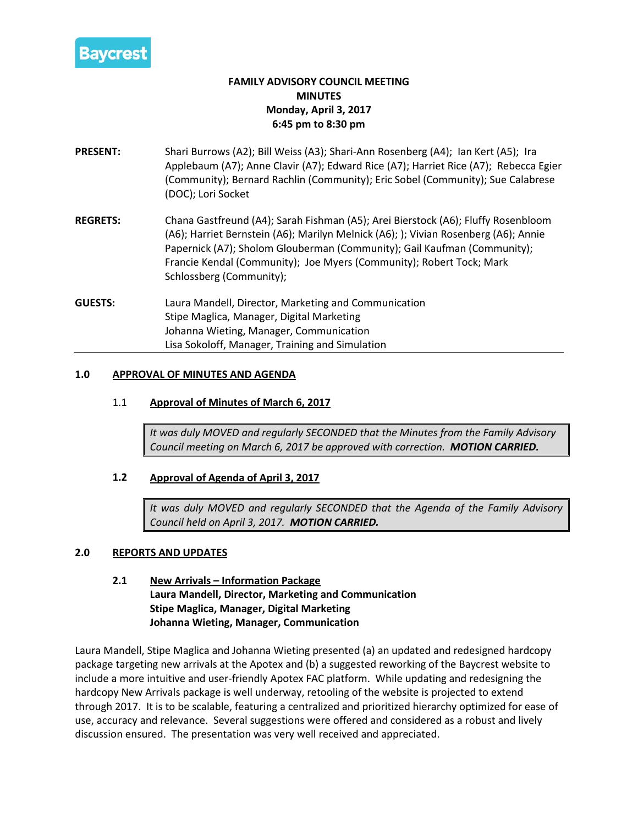

# **FAMILY ADVISORY COUNCIL MEETING MINUTES Monday, April 3, 2017 6:45 pm to 8:30 pm**

- **PRESENT:** Shari Burrows (A2); Bill Weiss (A3); Shari-Ann Rosenberg (A4); Ian Kert (A5); Ira Applebaum (A7); Anne Clavir (A7); Edward Rice (A7); Harriet Rice (A7); Rebecca Egier (Community); Bernard Rachlin (Community); Eric Sobel (Community); Sue Calabrese (DOC); Lori Socket
- **REGRETS:** Chana Gastfreund (A4); Sarah Fishman (A5); Arei Bierstock (A6); Fluffy Rosenbloom (A6); Harriet Bernstein (A6); Marilyn Melnick (A6); ); Vivian Rosenberg (A6); Annie Papernick (A7); Sholom Glouberman (Community); Gail Kaufman (Community); Francie Kendal (Community); Joe Myers (Community); Robert Tock; Mark Schlossberg (Community);
- **GUESTS:** Laura Mandell, Director, Marketing and Communication Stipe Maglica, Manager, Digital Marketing Johanna Wieting, Manager, Communication Lisa Sokoloff, Manager, Training and Simulation

#### **1.0 APPROVAL OF MINUTES AND AGENDA**

# 1.1 **Approval of Minutes of March 6, 2017**

*It was duly MOVED and regularly SECONDED that the Minutes from the Family Advisory Council meeting on March 6, 2017 be approved with correction. MOTION CARRIED.*

# **1.2 Approval of Agenda of April 3, 2017**

*It was duly MOVED and regularly SECONDED that the Agenda of the Family Advisory Council held on April 3, 2017. MOTION CARRIED.*

#### **2.0 REPORTS AND UPDATES**

**2.1 New Arrivals – Information Package Laura Mandell, Director, Marketing and Communication Stipe Maglica, Manager, Digital Marketing Johanna Wieting, Manager, Communication**

Laura Mandell, Stipe Maglica and Johanna Wieting presented (a) an updated and redesigned hardcopy package targeting new arrivals at the Apotex and (b) a suggested reworking of the Baycrest website to include a more intuitive and user-friendly Apotex FAC platform. While updating and redesigning the hardcopy New Arrivals package is well underway, retooling of the website is projected to extend through 2017. It is to be scalable, featuring a centralized and prioritized hierarchy optimized for ease of use, accuracy and relevance. Several suggestions were offered and considered as a robust and lively discussion ensured. The presentation was very well received and appreciated.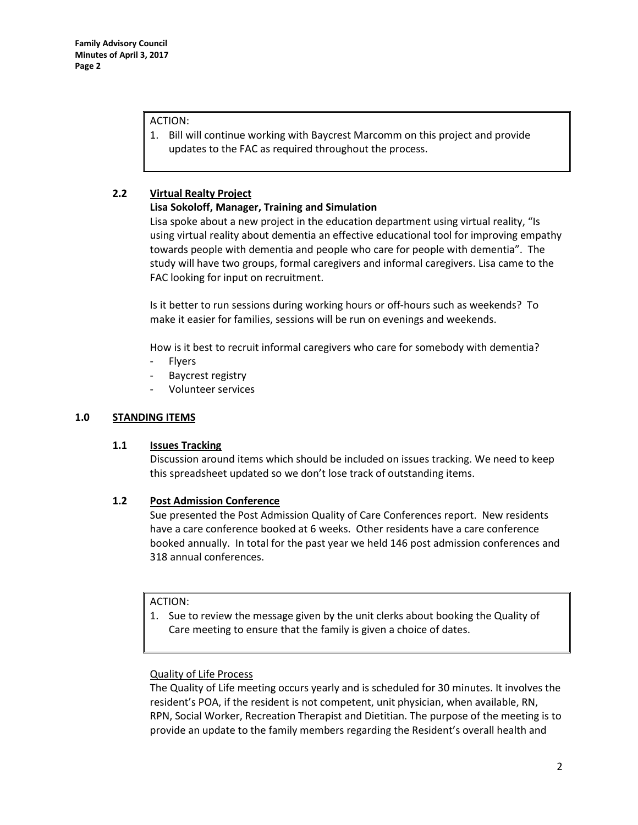### ACTION:

1. Bill will continue working with Baycrest Marcomm on this project and provide updates to the FAC as required throughout the process.

# **2.2 Virtual Realty Project**

# **Lisa Sokoloff, Manager, Training and Simulation**

Lisa spoke about a new project in the education department using virtual reality, "Is using virtual reality about dementia an effective educational tool for improving empathy towards people with dementia and people who care for people with dementia". The study will have two groups, formal caregivers and informal caregivers. Lisa came to the FAC looking for input on recruitment.

Is it better to run sessions during working hours or off-hours such as weekends? To make it easier for families, sessions will be run on evenings and weekends.

How is it best to recruit informal caregivers who care for somebody with dementia?

- **Flyers**
- Baycrest registry
- Volunteer services

# **1.0 STANDING ITEMS**

# **1.1 Issues Tracking**

Discussion around items which should be included on issues tracking. We need to keep this spreadsheet updated so we don't lose track of outstanding items.

# **1.2 Post Admission Conference**

Sue presented the Post Admission Quality of Care Conferences report. New residents have a care conference booked at 6 weeks. Other residents have a care conference booked annually. In total for the past year we held 146 post admission conferences and 318 annual conferences.

# ACTION:

1. Sue to review the message given by the unit clerks about booking the Quality of Care meeting to ensure that the family is given a choice of dates.

# Quality of Life Process

The Quality of Life meeting occurs yearly and is scheduled for 30 minutes. It involves the resident's POA, if the resident is not competent, unit physician, when available, RN, RPN, Social Worker, Recreation Therapist and Dietitian. The purpose of the meeting is to provide an update to the family members regarding the Resident's overall health and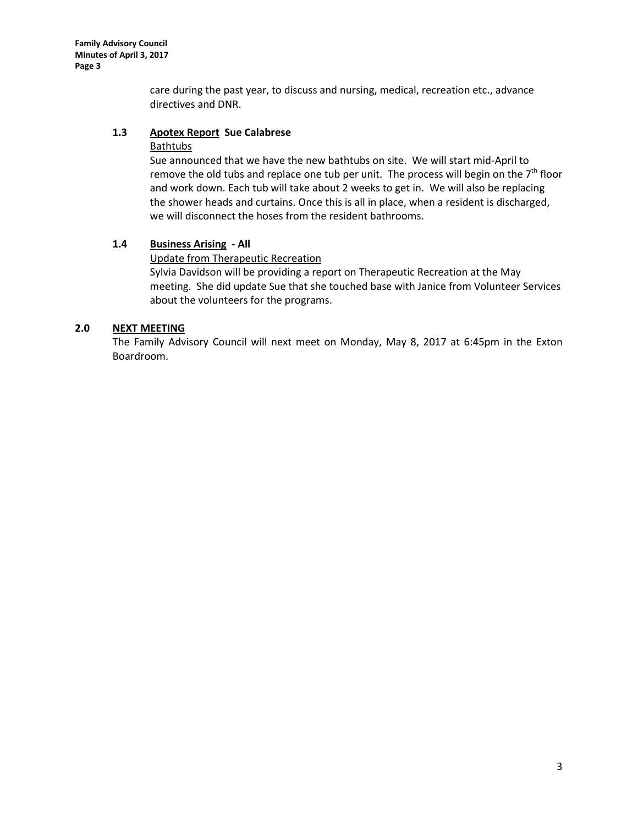care during the past year, to discuss and nursing, medical, recreation etc., advance directives and DNR.

#### **1.3 Apotex Report Sue Calabrese**

#### **Bathtubs**

Sue announced that we have the new bathtubs on site. We will start mid-April to remove the old tubs and replace one tub per unit. The process will begin on the  $7<sup>th</sup>$  floor and work down. Each tub will take about 2 weeks to get in. We will also be replacing the shower heads and curtains. Once this is all in place, when a resident is discharged, we will disconnect the hoses from the resident bathrooms.

#### **1.4 Business Arising - All**

# Update from Therapeutic Recreation

Sylvia Davidson will be providing a report on Therapeutic Recreation at the May meeting. She did update Sue that she touched base with Janice from Volunteer Services about the volunteers for the programs.

### **2.0 NEXT MEETING**

The Family Advisory Council will next meet on Monday, May 8, 2017 at 6:45pm in the Exton Boardroom.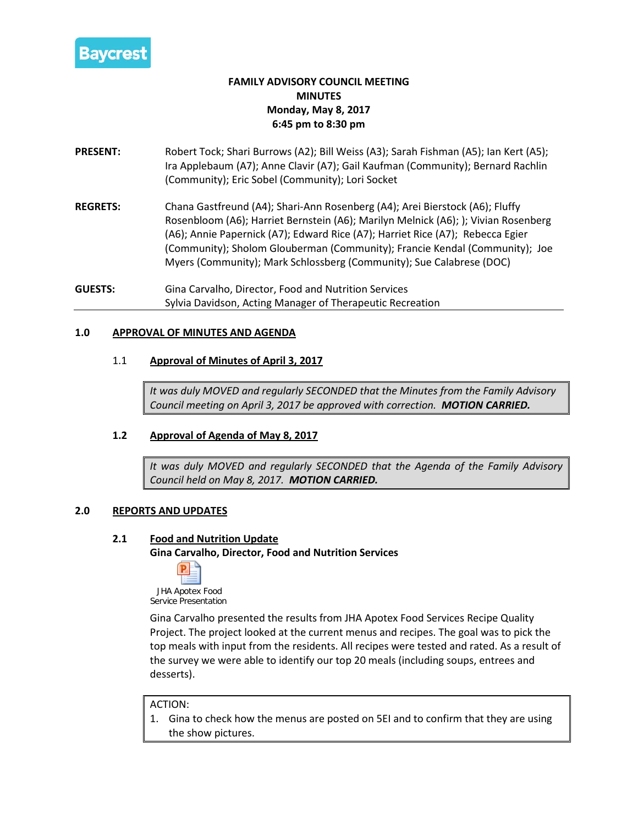

# **FAMILY ADVISORY COUNCIL MEETING MINUTES Monday, May 8, 2017 6:45 pm to 8:30 pm**

- **PRESENT:** Robert Tock; Shari Burrows (A2); Bill Weiss (A3); Sarah Fishman (A5); Ian Kert (A5); Ira Applebaum (A7); Anne Clavir (A7); Gail Kaufman (Community); Bernard Rachlin (Community); Eric Sobel (Community); Lori Socket
- **REGRETS:** Chana Gastfreund (A4); Shari-Ann Rosenberg (A4); Arei Bierstock (A6); Fluffy Rosenbloom (A6); Harriet Bernstein (A6); Marilyn Melnick (A6); ); Vivian Rosenberg (A6); Annie Papernick (A7); Edward Rice (A7); Harriet Rice (A7); Rebecca Egier (Community); Sholom Glouberman (Community); Francie Kendal (Community); Joe Myers (Community); Mark Schlossberg (Community); Sue Calabrese (DOC)
- **GUESTS:** Gina Carvalho, Director, Food and Nutrition Services Sylvia Davidson, Acting Manager of Therapeutic Recreation

# **1.0 APPROVAL OF MINUTES AND AGENDA**

#### 1.1 **Approval of Minutes of April 3, 2017**

*It was duly MOVED and regularly SECONDED that the Minutes from the Family Advisory Council meeting on April 3, 2017 be approved with correction. MOTION CARRIED.*

# **1.2 Approval of Agenda of May 8, 2017**

*It was duly MOVED and regularly SECONDED that the Agenda of the Family Advisory Council held on May 8, 2017. MOTION CARRIED.*

#### **2.0 REPORTS AND UPDATES**

#### **2.1 Food and Nutrition Update**

**Gina Carvalho, Director, Food and Nutrition Services**



JHA Apotex Food Service Presentation

Gina Carvalho presented the results from JHA Apotex Food Services Recipe Quality Project. The project looked at the current menus and recipes. The goal was to pick the top meals with input from the residents. All recipes were tested and rated. As a result of the survey we were able to identify our top 20 meals (including soups, entrees and desserts).

#### ACTION:

1. Gina to check how the menus are posted on 5EI and to confirm that they are using the show pictures.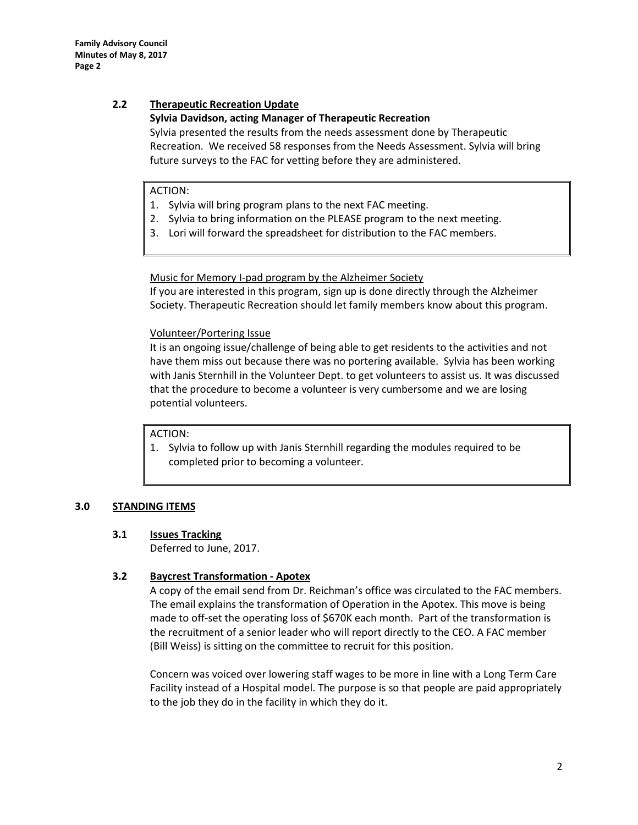# **2.2 Therapeutic Recreation Update**

### **Sylvia Davidson, acting Manager of Therapeutic Recreation**

Sylvia presented the results from the needs assessment done by Therapeutic Recreation. We received 58 responses from the Needs Assessment. Sylvia will bring future surveys to the FAC for vetting before they are administered.

# ACTION:

- 1. Sylvia will bring program plans to the next FAC meeting.
- 2. Sylvia to bring information on the PLEASE program to the next meeting.
- 3. Lori will forward the spreadsheet for distribution to the FAC members.

Music for Memory I-pad program by the Alzheimer Society

If you are interested in this program, sign up is done directly through the Alzheimer Society. Therapeutic Recreation should let family members know about this program.

# Volunteer/Portering Issue

It is an ongoing issue/challenge of being able to get residents to the activities and not have them miss out because there was no portering available. Sylvia has been working with Janis Sternhill in the Volunteer Dept. to get volunteers to assist us. It was discussed that the procedure to become a volunteer is very cumbersome and we are losing potential volunteers.

# ACTION:

1. Sylvia to follow up with Janis Sternhill regarding the modules required to be completed prior to becoming a volunteer.

# **3.0 STANDING ITEMS**

# **3.1 Issues Tracking**

Deferred to June, 2017.

# **3.2 Baycrest Transformation - Apotex**

A copy of the email send from Dr. Reichman's office was circulated to the FAC members. The email explains the transformation of Operation in the Apotex. This move is being made to off-set the operating loss of \$670K each month. Part of the transformation is the recruitment of a senior leader who will report directly to the CEO. A FAC member (Bill Weiss) is sitting on the committee to recruit for this position.

Concern was voiced over lowering staff wages to be more in line with a Long Term Care Facility instead of a Hospital model. The purpose is so that people are paid appropriately to the job they do in the facility in which they do it.